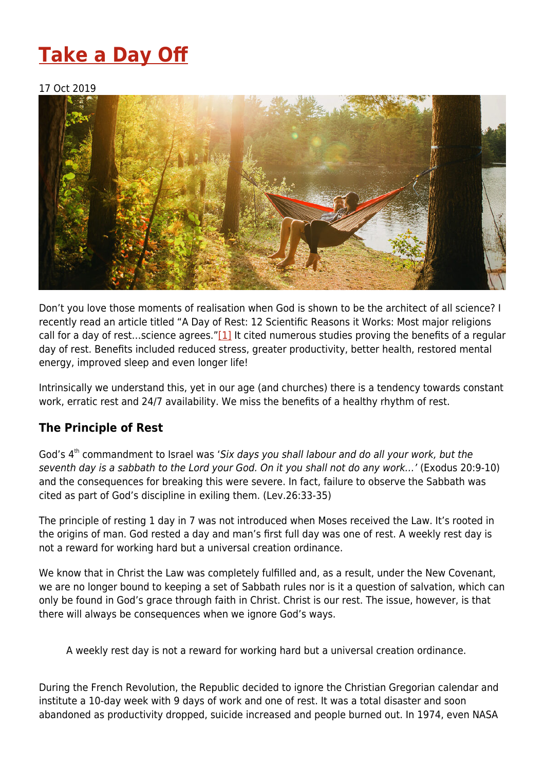# **[Take a Day Off](https://four12global.com/articles/take-a-day-off/)**

### 17 Oct 2019



<span id="page-0-0"></span>Don't you love those moments of realisation when God is shown to be the architect of all science? I recently read an article titled "A Day of Rest: 12 Scientific Reasons it Works: Most major religions call for a day of rest…science agrees."[\[1\]](#page-2-0) It cited numerous studies proving the benefits of a regular day of rest. Benefits included reduced stress, greater productivity, better health, restored mental energy, improved sleep and even longer life!

Intrinsically we understand this, yet in our age (and churches) there is a tendency towards constant work, erratic rest and 24/7 availability. We miss the benefits of a healthy rhythm of rest.

## **The Principle of Rest**

God's 4<sup>th</sup> commandment to Israel was 'Six days you shall labour and do all your work, but the seventh day is a sabbath to the Lord your God. On it you shall not do any work…' (Exodus 20:9-10) and the consequences for breaking this were severe. In fact, failure to observe the Sabbath was cited as part of God's discipline in exiling them. (Lev.26:33-35)

The principle of resting 1 day in 7 was not introduced when Moses received the Law. It's rooted in the origins of man. God rested a day and man's first full day was one of rest. A weekly rest day is not a reward for working hard but a universal creation ordinance.

We know that in Christ the Law was completely fulfilled and, as a result, under the New Covenant, we are no longer bound to keeping a set of Sabbath rules nor is it a question of salvation, which can only be found in God's grace through faith in Christ. Christ is our rest. The issue, however, is that there will always be consequences when we ignore God's ways.

A weekly rest day is not a reward for working hard but a universal creation ordinance.

<span id="page-0-1"></span>During the French Revolution, the Republic decided to ignore the Christian Gregorian calendar and institute a 10-day week with 9 days of work and one of rest. It was a total disaster and soon abandoned as productivity dropped, suicide increased and people burned out. In 1974, even NASA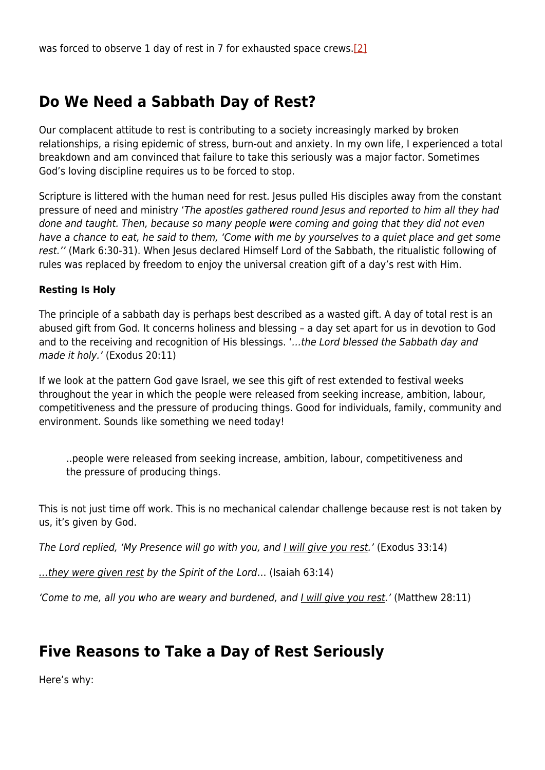# **Do We Need a Sabbath Day of Rest?**

Our complacent attitude to rest is contributing to a society increasingly marked by broken relationships, a rising epidemic of stress, burn-out and anxiety. In my own life, I experienced a total breakdown and am convinced that failure to take this seriously was a major factor. Sometimes God's loving discipline requires us to be forced to stop.

Scripture is littered with the human need for rest. Jesus pulled His disciples away from the constant pressure of need and ministry 'The apostles gathered round Jesus and reported to him all they had done and taught. Then, because so many people were coming and going that they did not even have a chance to eat, he said to them, 'Come with me by yourselves to a quiet place and get some rest.'' (Mark 6:30-31). When Jesus declared Himself Lord of the Sabbath, the ritualistic following of rules was replaced by freedom to enjoy the universal creation gift of a day's rest with Him.

### **Resting Is Holy**

The principle of a sabbath day is perhaps best described as a wasted gift. A day of total rest is an abused gift from God. It concerns holiness and blessing – a day set apart for us in devotion to God and to the receiving and recognition of His blessings. '…the Lord blessed the Sabbath day and made it holy.' (Exodus 20:11)

If we look at the pattern God gave Israel, we see this gift of rest extended to festival weeks throughout the year in which the people were released from seeking increase, ambition, labour, competitiveness and the pressure of producing things. Good for individuals, family, community and environment. Sounds like something we need today!

..people were released from seeking increase, ambition, labour, competitiveness and the pressure of producing things.

This is not just time off work. This is no mechanical calendar challenge because rest is not taken by us, it's given by God.

The Lord replied, 'My Presence will go with you, and *Lwill give you rest*.' (Exodus 33:14)

...they were given rest by the Spirit of the Lord... (Isaiah 63:14)

'Come to me, all you who are weary and burdened, and I will give you rest.' (Matthew 28:11)

# **Five Reasons to Take a Day of Rest Seriously**

Here's why: